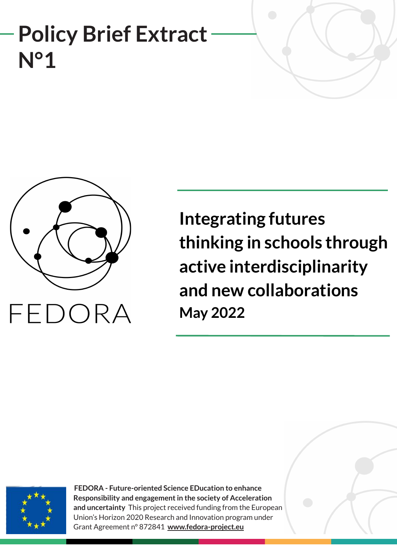# **Policy Brief Extract N°1**



**Integrating futures thinking in schools through active interdisciplinarity and new collaborations May 2022**



**FEDORA - Future-oriented Science EDucation to enhance Responsibility and engagement in the society of Acceleration and uncertainty** This project received funding from the European Union's Horizon 2020 Research and Innovation program under Grant Agreement n° 872841 **[www.fedora-project.eu](http://www.fedoraproject.eu/)**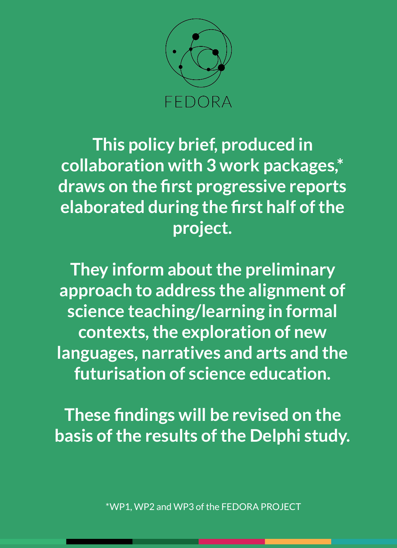

**This policy brief, produced in collaboration with 3 work packages,\* draws on the first progressive reports elaborated during the first half of the project.** 

**They inform about the preliminary approach to address the alignment of science teaching/learning in formal contexts, the exploration of new languages, narratives and arts and the futurisation of science education.** 

**These findings will be revised on the basis of the results of the Delphi study.** 

\*WP1, WP2 and WP3 of the FEDORA PROJECT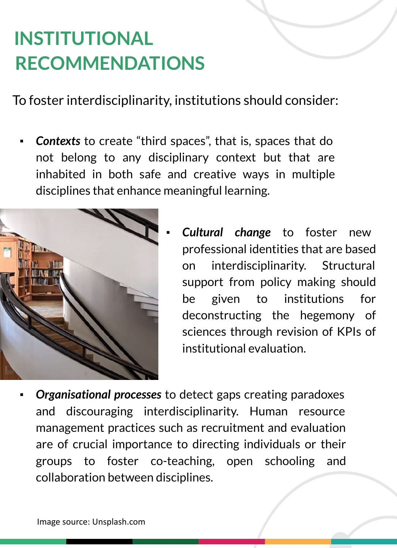### **INSTITUTIONAL RECOMMENDATIONS**

To foster interdisciplinarity, institutions should consider:

**Contexts** to create "third spaces", that is, spaces that do not belong to any disciplinary context but that are inhabited in both safe and creative ways in multiple disciplines that enhance meaningful learning.



- **Cultural change to foster new** professional identities that are based on interdisciplinarity. Structural support from policy making should be given to institutions for deconstructing the hegemony of sciences through revision of KPIs of institutional evaluation.
- **Organisational processes** to detect gaps creating paradoxes and discouraging interdisciplinarity. Human resource management practices such as recruitment and evaluation are of crucial importance to directing individuals or their groups to foster co-teaching, open schooling and collaboration between disciplines.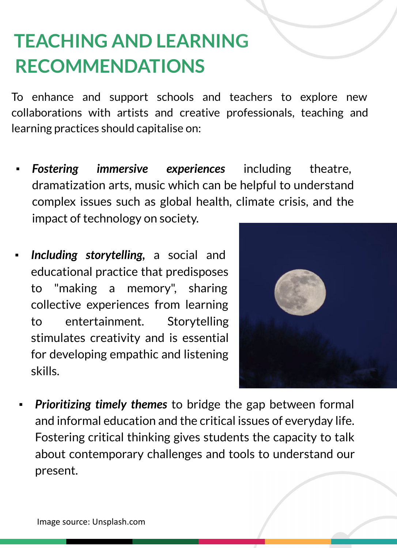#### **TEACHING AND LEARNING RECOMMENDATIONS**

To enhance and support schools and teachers to explore new collaborations with artists and creative professionals, teaching and learning practices should capitalise on:

- **Fostering immersive experiences** including theatre, dramatization arts, music which can be helpful to understand complex issues such as global health, climate crisis, and the impact of technology on society.
- Including storytelling, a social and educational practice that predisposes to "making a memory", sharing collective experiences from learning to entertainment. Storytelling stimulates creativity and is essential for developing empathic and listening skills.



**Prioritizing timely themes** to bridge the gap between formal and informal education and the critical issues of everyday life. Fostering critical thinking gives students the capacity to talk about contemporary challenges and tools to understand our present.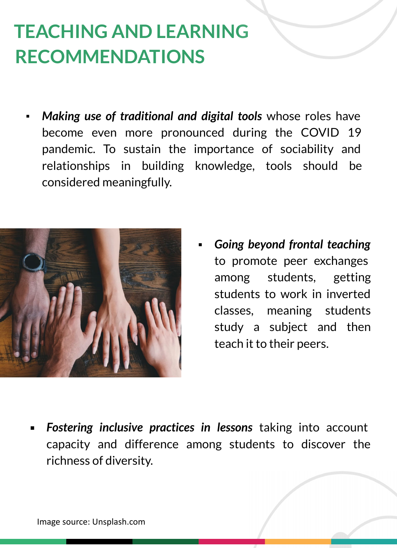### **TEACHING AND LEARNING RECOMMENDATIONS**

Making use of traditional and digital tools whose roles have become even more pronounced during the COVID 19 pandemic. To sustain the importance of sociability and relationships in building knowledge, tools should be considered meaningfully.



**Going beyond frontal teaching** to promote peer exchanges among students, getting students to work in inverted classes, meaning students study a subject and then teach it to their peers.

**Fostering inclusive practices in lessons** taking into account capacity and difference among students to discover the richness of diversity.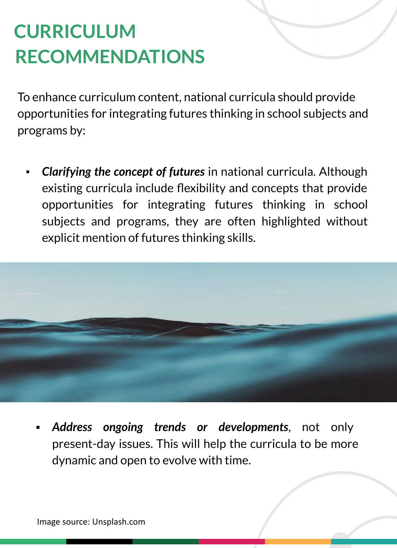# **CURRICULUM RECOMMENDATIONS**

To enhance curriculum content, national curricula should provide opportunities for integrating futures thinking in school subjects and programs by:

*Clarifying the concept of futures* in national curricula. Although existing curricula include flexibility and concepts that provide opportunities for integrating futures thinking in school subjects and programs, they are often highlighted without explicit mention of futures thinking skills.



Address ongoing trends or developments, not only present-day issues. This will help the curricula to be more dynamic and open to evolve with time.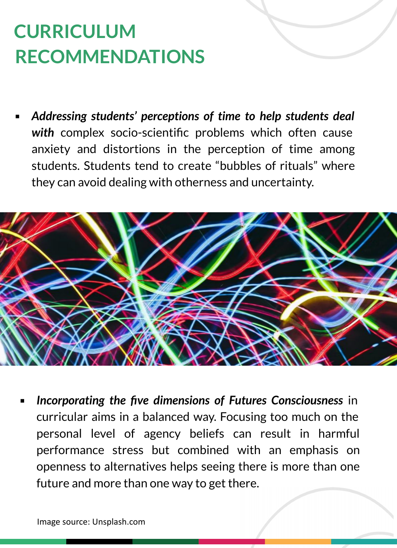# **CURRICULUM RECOMMENDATIONS**

Addressing students' perceptions of time to help students deal *with* complex socio-scientific problems which often cause anxiety and distortions in the perception of time among students. Students tend to create "bubbles of rituals" where they can avoid dealing with otherness and uncertainty.



**Incorporating the five dimensions of Futures Consciousness** in curricular aims in a balanced way. Focusing too much on the personal level of agency beliefs can result in harmful performance stress but combined with an emphasis on openness to alternatives helps seeing there is more than one future and more than one way to get there.